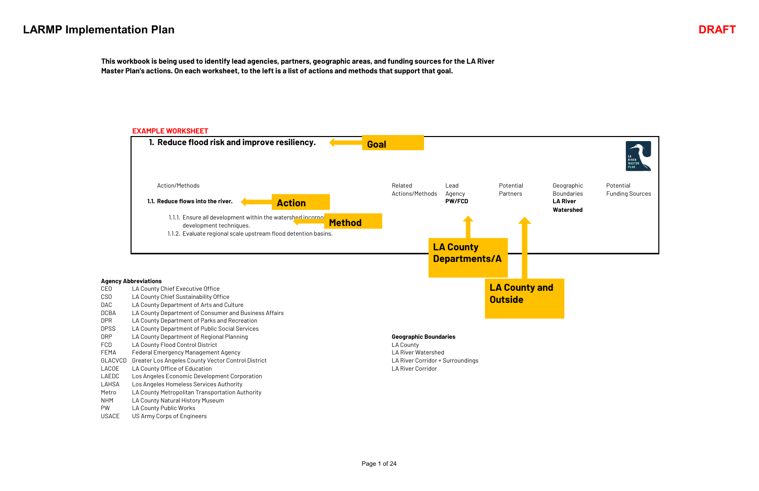Potential Funding Sources



Geographic Boundaries **Watershed**

#### **Agency Abbreviations**

#### **EXAMPLE WORKSHEET 1. Reduce flood risk and improve resiliency.** Related Actions/Methods Lead Agency Potential Partners **1.1. PW/FCD LA River Reduce flows into the river.** 1.1.1. Ensure all development within the watershed incorpo development techniques. 1.1.2. Evaluate regional scale upstream flood detention basins. Action/Methods **Goal Action Method LA County Departments/A**

| CEO     | LA County Chief Executive Office                      |                                  | <b>LA County and</b> |
|---------|-------------------------------------------------------|----------------------------------|----------------------|
| CSO     | LA County Chief Sustainability Office                 |                                  | <b>Outside</b>       |
| DAC     | LA County Department of Arts and Culture              |                                  |                      |
| DCBA    | LA County Department of Consumer and Business Affairs |                                  |                      |
| DPR.    | LA County Department of Parks and Recreation          |                                  |                      |
| DPSS    | LA County Department of Public Social Services        |                                  |                      |
| DRP     | LA County Department of Regional Planning             | <b>Geographic Boundaries</b>     |                      |
| FCD.    | LA County Flood Control District                      | LA County                        |                      |
| FEMA    | <b>Federal Emergency Management Agency</b>            | LA River Watershed               |                      |
| GLACVCD | Greater Los Angeles County Vector Control District    | LA River Corridor + Surroundings |                      |
| LACOE   | LA County Office of Education                         | LA River Corridor                |                      |
| LAEDC   | Los Angeles Economic Development Corporation          |                                  |                      |
| LAHSA   | Los Angeles Homeless Services Authority               |                                  |                      |
| Metro   | LA County Metropolitan Transportation Authority       |                                  |                      |
| NHM.    | LA County Natural History Museum                      |                                  |                      |
| PW      | LA County Public Works                                |                                  |                      |
|         |                                                       |                                  |                      |

**This workbook is being used to identify lead agencies, partners, geographic areas, and funding sources for the LA River Master Plan's actions. On each worksheet, to the left is a list of actions and methods that support that goal.**



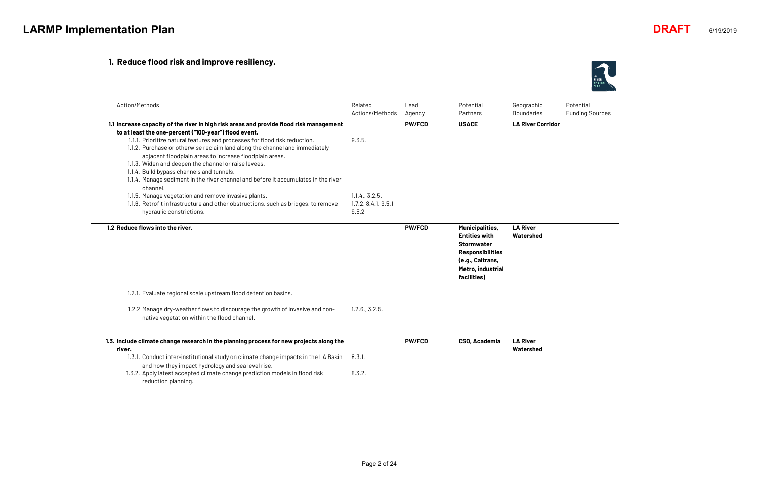## **1. Reduce flood risk and improve resiliency.**

| Action/Methods                                                                                                                                                                                                                                                                                                                                                                                                                                                                                                                                                      | Related<br>Actions/Methods                      | Lead<br>Agency | Potential<br>Partners                                                                                                                                  | Geographic<br><b>Boundaries</b> |
|---------------------------------------------------------------------------------------------------------------------------------------------------------------------------------------------------------------------------------------------------------------------------------------------------------------------------------------------------------------------------------------------------------------------------------------------------------------------------------------------------------------------------------------------------------------------|-------------------------------------------------|----------------|--------------------------------------------------------------------------------------------------------------------------------------------------------|---------------------------------|
| 1.1 Increase capacity of the river in high risk areas and provide flood risk management<br>to at least the one-percent ("100-year") flood event.<br>1.1.1. Prioritize natural features and processes for flood risk reduction.<br>1.1.2. Purchase or otherwise reclaim land along the channel and immediately<br>adjacent floodplain areas to increase floodplain areas.<br>1.1.3. Widen and deepen the channel or raise levees.<br>1.1.4. Build bypass channels and tunnels.<br>1.1.4. Manage sediment in the river channel and before it accumulates in the river | 9.3.5.                                          | <b>PW/FCD</b>  | <b>USACE</b>                                                                                                                                           | <b>LA River Corridor</b>        |
| channel.<br>1.1.5. Manage vegetation and remove invasive plants.<br>1.1.6. Retrofit infrastructure and other obstructions, such as bridges, to remove<br>hydraulic constrictions.                                                                                                                                                                                                                                                                                                                                                                                   | 1.1.4., 3.2.5.<br>1.7.2, 8.4.1, 9.5.1,<br>9.5.2 |                |                                                                                                                                                        |                                 |
| 1.2 Reduce flows into the river.                                                                                                                                                                                                                                                                                                                                                                                                                                                                                                                                    |                                                 | <b>PW/FCD</b>  | <b>Municipalities,</b><br><b>Entities with</b><br><b>Stormwater</b><br><b>Responsibilities</b><br>(e.g., Caltrans,<br>Metro, industrial<br>facilities) | <b>LA River</b><br>Watershed    |
| 1.2.1. Evaluate regional scale upstream flood detention basins.                                                                                                                                                                                                                                                                                                                                                                                                                                                                                                     |                                                 |                |                                                                                                                                                        |                                 |
| 1.2.2 Manage dry-weather flows to discourage the growth of invasive and non-<br>native vegetation within the flood channel.                                                                                                                                                                                                                                                                                                                                                                                                                                         | 1.2.6., 3.2.5.                                  |                |                                                                                                                                                        |                                 |
| 1.3. Include climate change research in the planning process for new projects along the<br>river.                                                                                                                                                                                                                                                                                                                                                                                                                                                                   |                                                 | <b>PW/FCD</b>  | <b>CSO, Academia</b>                                                                                                                                   | <b>LA River</b><br>Watershed    |
| 1.3.1. Conduct inter-institutional study on climate change impacts in the LA Basin<br>and how they impact hydrology and sea level rise.                                                                                                                                                                                                                                                                                                                                                                                                                             | 8.3.1.                                          |                |                                                                                                                                                        |                                 |
| 1.3.2. Apply latest accepted climate change prediction models in flood risk<br>reduction planning.                                                                                                                                                                                                                                                                                                                                                                                                                                                                  | 8.3.2.                                          |                |                                                                                                                                                        |                                 |



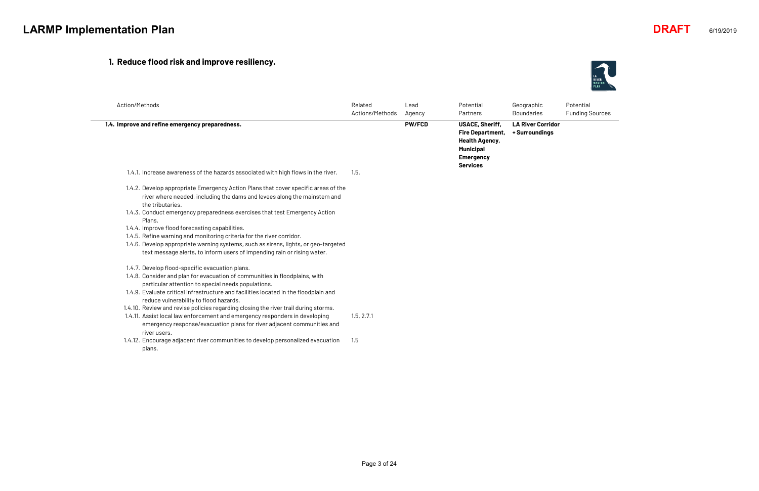## **1. Reduce flood risk and improve resiliency.**

| Action/Methods                                                                                                                                                                                                                                                                                                                                                                                                                                                                               | Related<br>Actions/Methods | Lead<br>Agency | Potential<br>Partners                                                                                                                 | Geographic<br><b>Boundaries</b>            |
|----------------------------------------------------------------------------------------------------------------------------------------------------------------------------------------------------------------------------------------------------------------------------------------------------------------------------------------------------------------------------------------------------------------------------------------------------------------------------------------------|----------------------------|----------------|---------------------------------------------------------------------------------------------------------------------------------------|--------------------------------------------|
| 1.4. Improve and refine emergency preparedness.                                                                                                                                                                                                                                                                                                                                                                                                                                              |                            | <b>PW/FCD</b>  | <b>USACE, Sheriff,</b><br><b>Fire Department,</b><br><b>Health Agency,</b><br><b>Municipal</b><br><b>Emergency</b><br><b>Services</b> | <b>LA River Corridor</b><br>+ Surroundings |
| 1.4.1. Increase awareness of the hazards associated with high flows in the river.                                                                                                                                                                                                                                                                                                                                                                                                            | 1.5.                       |                |                                                                                                                                       |                                            |
| 1.4.2. Develop appropriate Emergency Action Plans that cover specific areas of the<br>river where needed, including the dams and levees along the mainstem and<br>the tributaries.<br>1.4.3. Conduct emergency preparedness exercises that test Emergency Action<br>Plans.<br>1.4.4. Improve flood forecasting capabilities.<br>1.4.5. Refine warning and monitoring criteria for the river corridor.<br>1.4.6. Develop appropriate warning systems, such as sirens, lights, or geo-targeted |                            |                |                                                                                                                                       |                                            |
| text message alerts, to inform users of impending rain or rising water.                                                                                                                                                                                                                                                                                                                                                                                                                      |                            |                |                                                                                                                                       |                                            |
| 1.4.7. Develop flood-specific evacuation plans.<br>1.4.8. Consider and plan for evacuation of communities in floodplains, with<br>particular attention to special needs populations.<br>1.4.9. Evaluate critical infrastructure and facilities located in the floodplain and                                                                                                                                                                                                                 |                            |                |                                                                                                                                       |                                            |
| reduce vulnerability to flood hazards.                                                                                                                                                                                                                                                                                                                                                                                                                                                       |                            |                |                                                                                                                                       |                                            |
| 1.4.10. Review and revise policies regarding closing the river trail during storms.<br>1.4.11. Assist local law enforcement and emergency responders in developing<br>emergency response/evacuation plans for river adjacent communities and                                                                                                                                                                                                                                                 | 1.5, 2.7.1                 |                |                                                                                                                                       |                                            |
| river users.<br>1.4.12. Encourage adjacent river communities to develop personalized evacuation<br>plans.                                                                                                                                                                                                                                                                                                                                                                                    | 1.5                        |                |                                                                                                                                       |                                            |



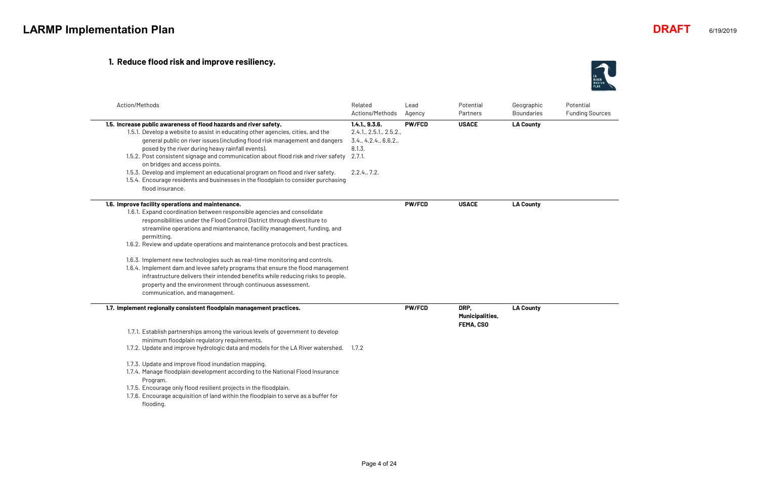## **1. Reduce flood risk and improve resiliency.**

| Action/Methods                                                                                                                                                                                                                                                                                                                                                                                                                                                                                                                                                                                                                                                                                                                                  | Related<br>Actions/Methods                                                                         | Lead<br>Agency | Potential<br>Partners                       | Geographic<br><b>Boundaries</b> |
|-------------------------------------------------------------------------------------------------------------------------------------------------------------------------------------------------------------------------------------------------------------------------------------------------------------------------------------------------------------------------------------------------------------------------------------------------------------------------------------------------------------------------------------------------------------------------------------------------------------------------------------------------------------------------------------------------------------------------------------------------|----------------------------------------------------------------------------------------------------|----------------|---------------------------------------------|---------------------------------|
| 1.5. Increase public awareness of flood hazards and river safety.<br>1.5.1. Develop a website to assist in educating other agencies, cities, and the<br>general public on river issues (including flood risk management and dangers<br>posed by the river during heavy rainfall events).<br>1.5.2. Post consistent signage and communication about flood risk and river safety<br>on bridges and access points.<br>1.5.3. Develop and implement an educational program on flood and river safety.<br>1.5.4. Encourage residents and businesses in the floodplain to consider purchasing<br>flood insurance.                                                                                                                                     | 1.4.1, 9.3.6.<br>2.4.1, 2.5.1, 2.5.2.<br>3.4., 4.2.4., 6.6.2.,<br>8.1.3.<br>2.7.1.<br>2.2.4., 7.2. | <b>PW/FCD</b>  | <b>USACE</b>                                | <b>LA County</b>                |
| 1.6. Improve facility operations and maintenance.<br>1.6.1. Expand coordination between responsible agencies and consolidate<br>responsibilities under the Flood Control District through divestiture to<br>streamline operations and miantenance, facility management, funding, and<br>permitting.<br>1.6.2. Review and update operations and maintenance protocols and best practices.<br>1.6.3. Implement new technologies such as real-time monitoring and controls.<br>1.6.4. Implement dam and levee safety programs that ensure the flood management<br>infrastructure delivers their intended benefits while reducing risks to people,<br>property and the environment through continuous assessment,<br>communication, and management. |                                                                                                    | <b>PW/FCD</b>  | <b>USACE</b>                                | <b>LA County</b>                |
| 1.7. Implement regionally consistent floodplain management practices.<br>1.7.1. Establish partnerships among the various levels of government to develop<br>minimum floodplain regulatory requirements.<br>1.7.2. Update and improve hydrologic data and models for the LA River watershed. 1.7.2<br>1.7.3. Update and improve flood inundation mapping.<br>1.7.4. Manage floodplain development according to the National Flood Insurance<br>Program.<br>1.7.5. Encourage only flood resilient projects in the floodplain.<br>1.7.6. Encourage acquisition of land within the floodplain to serve as a buffer for<br>flooding.                                                                                                                 |                                                                                                    | <b>PW/FCD</b>  | DRP,<br><b>Municipalities,</b><br>FEMA, CSO | <b>LA County</b>                |



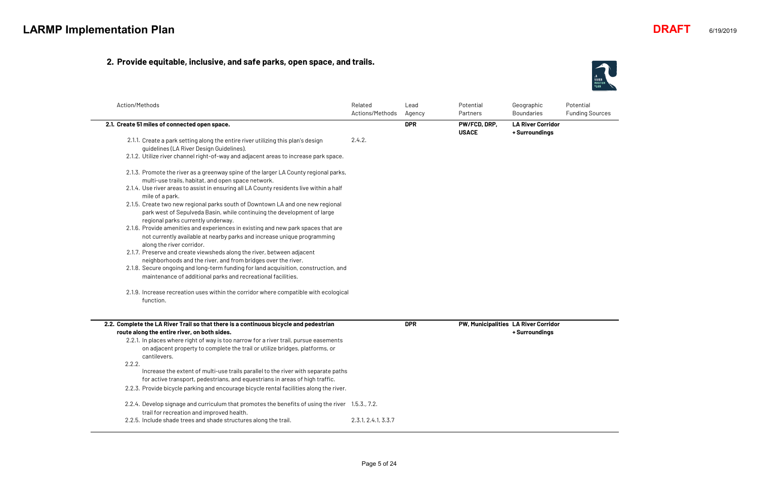## **2. Provide equitable, inclusive, and safe parks, open space, and trails.**

| Action/Methods                                                                                                               | Related<br>Actions/Methods | Lead<br>Agency | Potential<br>Partners        | Geographic<br><b>Boundaries</b>            |
|------------------------------------------------------------------------------------------------------------------------------|----------------------------|----------------|------------------------------|--------------------------------------------|
| 2.1. Create 51 miles of connected open space.                                                                                |                            | <b>DPR</b>     | PW/FCD, DRP,<br><b>USACE</b> | <b>LA River Corridor</b><br>+ Surroundings |
| 2.1.1. Create a park setting along the entire river utilizing this plan's design<br>guidelines (LA River Design Guidelines). | 2.4.2.                     |                |                              |                                            |
| 2.1.2. Utilize river channel right-of-way and adjacent areas to increase park space.                                         |                            |                |                              |                                            |
| 2.1.3. Promote the river as a greenway spine of the larger LA County regional parks,                                         |                            |                |                              |                                            |
| multi-use trails, habitat, and open space network.                                                                           |                            |                |                              |                                            |
| 2.1.4. Use river areas to assist in ensuring all LA County residents live within a half<br>mile of a park.                   |                            |                |                              |                                            |
| 2.1.5. Create two new regional parks south of Downtown LA and one new regional                                               |                            |                |                              |                                            |
| park west of Sepulveda Basin, while continuing the development of large                                                      |                            |                |                              |                                            |
| regional parks currently underway.                                                                                           |                            |                |                              |                                            |
| 2.1.6. Provide amenities and experiences in existing and new park spaces that are                                            |                            |                |                              |                                            |
| not currently available at nearby parks and increase unique programming                                                      |                            |                |                              |                                            |
| along the river corridor.                                                                                                    |                            |                |                              |                                            |
| 2.1.7. Preserve and create viewsheds along the river, between adjacent                                                       |                            |                |                              |                                            |
| neighborhoods and the river, and from bridges over the river.                                                                |                            |                |                              |                                            |
| 2.1.8. Secure ongoing and long-term funding for land acquisition, construction, and                                          |                            |                |                              |                                            |
| maintenance of additional parks and recreational facilities.                                                                 |                            |                |                              |                                            |
| 2.1.9. Increase recreation uses within the corridor where compatible with ecological                                         |                            |                |                              |                                            |
| function.                                                                                                                    |                            |                |                              |                                            |
|                                                                                                                              |                            |                |                              |                                            |
| 2.2. Complete the LA River Trail so that there is a continuous bicycle and pedestrian                                        |                            | <b>DPR</b>     |                              | PW, Municipalities LA River Corridor       |
| route along the entire river, on both sides.                                                                                 |                            |                |                              | + Surroundings                             |
| 2.2.1. In places where right of way is too narrow for a river trail, pursue easements                                        |                            |                |                              |                                            |
| on adjacent property to complete the trail or utilize bridges, platforms, or                                                 |                            |                |                              |                                            |
| cantilevers.                                                                                                                 |                            |                |                              |                                            |
| 2.2.2.                                                                                                                       |                            |                |                              |                                            |
| Increase the extent of multi-use trails parallel to the river with separate paths                                            |                            |                |                              |                                            |
| for active transport, pedestrians, and equestrians in areas of high traffic.                                                 |                            |                |                              |                                            |
| 2.2.3. Provide bicycle parking and encourage bicycle rental facilities along the river.                                      |                            |                |                              |                                            |
| 2.2.4. Develop signage and curriculum that promotes the benefits of using the river 1.5.3., 7.2.                             |                            |                |                              |                                            |
| trail for recreation and improved health.                                                                                    |                            |                |                              |                                            |
| 2.2.5. Include shade trees and shade structures along the trail.                                                             | 2.3.1, 2.4.1, 3.3.7        |                |                              |                                            |



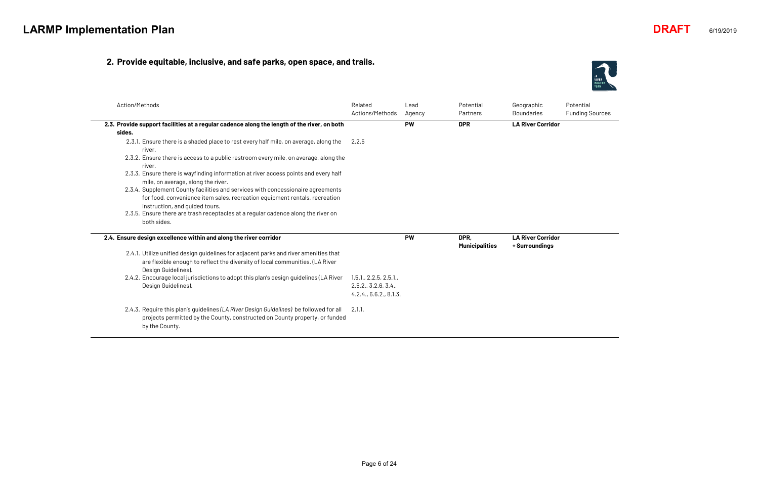## **2. Provide equitable, inclusive, and safe parks, open space, and trails.**

| Action/Methods                                                                                                                                                                                                                                                                                                                                                                                                   | Related<br>Actions/Methods                                             | l ead<br>Agency | Potential<br>Partners         | Geographic<br><b>Boundaries</b>            |
|------------------------------------------------------------------------------------------------------------------------------------------------------------------------------------------------------------------------------------------------------------------------------------------------------------------------------------------------------------------------------------------------------------------|------------------------------------------------------------------------|-----------------|-------------------------------|--------------------------------------------|
| 2.3. Provide support facilities at a regular cadence along the length of the river, on both                                                                                                                                                                                                                                                                                                                      |                                                                        | <b>PW</b>       | <b>DPR</b>                    | <b>LA River Corridor</b>                   |
| sides.                                                                                                                                                                                                                                                                                                                                                                                                           |                                                                        |                 |                               |                                            |
| 2.3.1. Ensure there is a shaded place to rest every half mile, on average, along the<br>river.<br>2.3.2. Ensure there is access to a public restroom every mile, on average, along the<br>river.<br>2.3.3. Ensure there is wayfinding information at river access points and every half<br>mile, on average, along the river.<br>2.3.4. Supplement County facilities and services with concessionaire agreements | 2.2.5                                                                  |                 |                               |                                            |
| for food, convenience item sales, recreation equipment rentals, recreation<br>instruction, and quided tours.<br>2.3.5. Ensure there are trash receptacles at a regular cadence along the river on<br>both sides.                                                                                                                                                                                                 |                                                                        |                 |                               |                                            |
| 2.4. Ensure design excellence within and along the river corridor                                                                                                                                                                                                                                                                                                                                                |                                                                        | <b>PW</b>       | DPR,<br><b>Municipalities</b> | <b>LA River Corridor</b><br>+ Surroundings |
| 2.4.1. Utilize unified design guidelines for adjacent parks and river amenities that<br>are flexible enough to reflect the diversity of local communities. (LA River<br>Design Guidelines).                                                                                                                                                                                                                      |                                                                        |                 |                               |                                            |
| 2.4.2. Encourage local jurisdictions to adopt this plan's design quidelines (LA River<br>Design Guidelines).                                                                                                                                                                                                                                                                                                     | 1.5.1, 2.2.5, 2.5.1,<br>2.5.2., 3.2.6, 3.4.,<br>4.2.4., 6.6.2., 8.1.3. |                 |                               |                                            |
| 2.4.3. Require this plan's quidelines (LA River Design Guidelines) be followed for all<br>projects permitted by the County, constructed on County property, or funded<br>by the County.                                                                                                                                                                                                                          | 2.1.1.                                                                 |                 |                               |                                            |



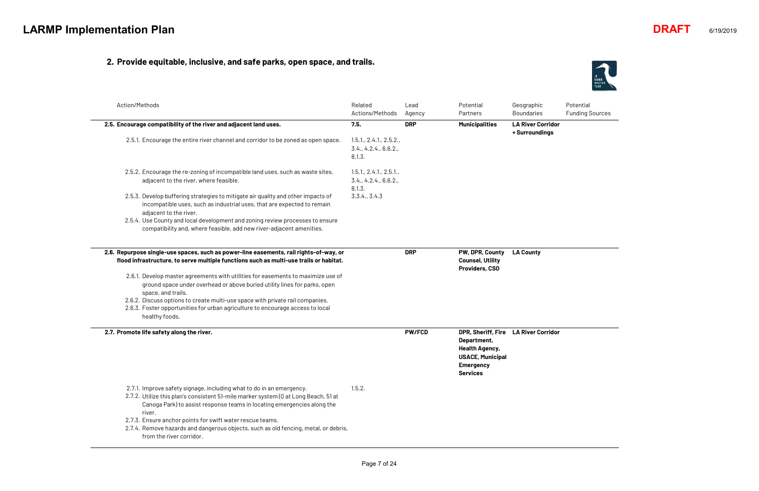## **2. Provide equitable, inclusive, and safe parks, open space, and trails.**

| Action/Methods                                                                                                                                                                                                                                   | Related<br>Actions/Methods                                 | Lead<br>Agency | Potential<br>Partners                                                                                                        | Geographic<br><b>Boundaries</b>            |
|--------------------------------------------------------------------------------------------------------------------------------------------------------------------------------------------------------------------------------------------------|------------------------------------------------------------|----------------|------------------------------------------------------------------------------------------------------------------------------|--------------------------------------------|
| 2.5. Encourage compatibility of the river and adjacent land uses.                                                                                                                                                                                | 7.5.                                                       | <b>DRP</b>     | <b>Municipalities</b>                                                                                                        | <b>LA River Corridor</b><br>+ Surroundings |
| 2.5.1. Encourage the entire river channel and corridor to be zoned as open space.                                                                                                                                                                | 1.5.1., 2.4.1., 2.5.2.,<br>3.4., 4.2.4., 6.6.2.,<br>8.1.3. |                |                                                                                                                              |                                            |
| 2.5.2. Encourage the re-zoning of incompatible land uses, such as waste sites,<br>adjacent to the river, where feasible.                                                                                                                         | 1.5.1, 2.4.1, 2.5.1,<br>3.4., 4.2.4., 6.6.2.,<br>8.1.3.    |                |                                                                                                                              |                                            |
| 2.5.3. Develop buffering strategies to mitigate air quality and other impacts of<br>incompatible uses, such as industrial uses, that are expected to remain<br>adjacent to the river.                                                            | 3.3.4., 3.4.3                                              |                |                                                                                                                              |                                            |
| 2.5.4. Use County and local development and zoning review processes to ensure<br>compatibility and, where feasible, add new river-adjacent amenities.                                                                                            |                                                            |                |                                                                                                                              |                                            |
| 2.6. Repurpose single-use spaces, such as power-line easements, rail rights-of-way, or<br>flood infrastructure, to serve multiple functions such as multi-use trails or habitat.                                                                 |                                                            | <b>DRP</b>     | PW, DPR, County<br><b>Counsel, Utility</b><br><b>Providers, CSO</b>                                                          | <b>LA County</b>                           |
| 2.6.1. Develop master agreements with utilities for easements to maximize use of<br>ground space under overhead or above buried utility lines for parks, open<br>space, and trails.                                                              |                                                            |                |                                                                                                                              |                                            |
| 2.6.2. Discuss options to create multi-use space with private rail companies.<br>2.6.3. Foster opportunities for urban agriculture to encourage access to local<br>healthy foods.                                                                |                                                            |                |                                                                                                                              |                                            |
| 2.7. Promote life safety along the river.                                                                                                                                                                                                        |                                                            | <b>PW/FCD</b>  | DPR, Sheriff, Fire<br>Department,<br><b>Health Agency,</b><br><b>USACE, Municipal</b><br><b>Emergency</b><br><b>Services</b> | <b>LA River Corridor</b>                   |
| 2.7.1. Improve safety signage, including what to do in an emergency.<br>2.7.2. Utilize this plan's consistent 51-mile marker system (0 at Long Beach, 51 at<br>Canoga Park) to assist response teams in locating emergencies along the<br>river. | 1.5.2.                                                     |                |                                                                                                                              |                                            |
| 2.7.3. Ensure anchor points for swift water rescue teams.<br>2.7.4. Remove hazards and dangerous objects, such as old fencing, metal, or debris,<br>from the river corridor.                                                                     |                                                            |                |                                                                                                                              |                                            |



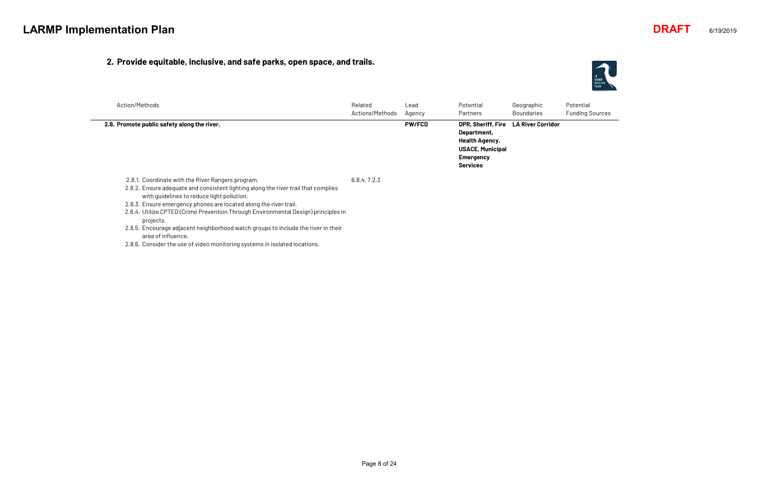#### **2. Provide equitable, inclusive, and safe parks, open space, and trails.**

Potential Funding Sources

| Action/Methods                                                                                                                                                                                                                                                                                                                                                                                                                                                           | Related<br>Actions/Methods | Lead<br>Agency | Potential<br><b>Partners</b>                                                                                                 | Geographic<br><b>Boundaries</b> |
|--------------------------------------------------------------------------------------------------------------------------------------------------------------------------------------------------------------------------------------------------------------------------------------------------------------------------------------------------------------------------------------------------------------------------------------------------------------------------|----------------------------|----------------|------------------------------------------------------------------------------------------------------------------------------|---------------------------------|
| 2.8. Promote public safety along the river.                                                                                                                                                                                                                                                                                                                                                                                                                              |                            | <b>PW/FCD</b>  | DPR, Sheriff, Fire<br>Department,<br><b>Health Agency,</b><br><b>USACE, Municipal</b><br><b>Emergency</b><br><b>Services</b> | <b>LA River Corridor</b>        |
| 2.8.1. Coordinate with the River Rangers program.<br>2.8.2. Ensure adequate and consistent lighting along the river trail that complies<br>with quidelines to reduce light pollution.<br>2.8.3. Ensure emergency phones are located along the river trail.<br>2.8.4. Utilize CPTED (Crime Prevention Through Environmental Design) principles in<br>projects.<br>2.8.5. Encourage adjacent neighborhood watch groups to include the river in their<br>area of influence. | 6.8.4, 7.2.3               |                |                                                                                                                              |                                 |

2.8.6. Consider the use of video monitoring systems in isolated locations.



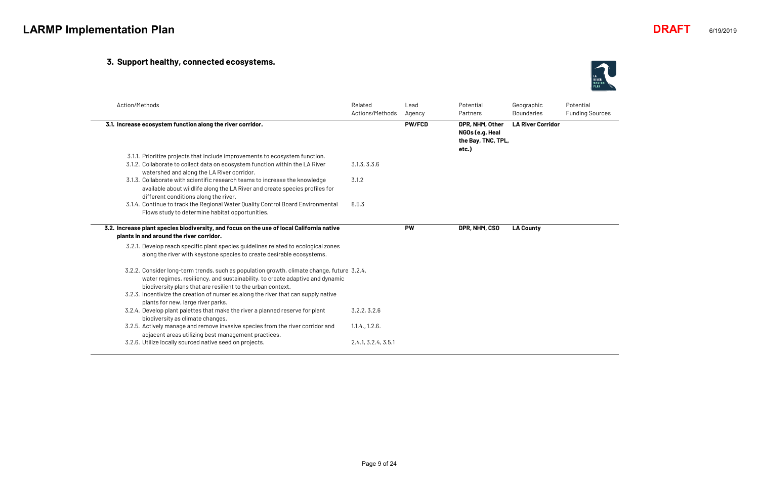## **3. Support healthy, connected ecosystems.**

| Action/Methods                                                                                                                                                                                                                                                                                                                    | Related<br>Actions/Methods | Lead<br>Agency | Potential<br>Partners                                             | Geographic<br><b>Boundaries</b> |
|-----------------------------------------------------------------------------------------------------------------------------------------------------------------------------------------------------------------------------------------------------------------------------------------------------------------------------------|----------------------------|----------------|-------------------------------------------------------------------|---------------------------------|
| 3.1. Increase ecosystem function along the river corridor.                                                                                                                                                                                                                                                                        |                            | <b>PW/FCD</b>  | DPR, NHM, Other<br>NGOs (e.g. Heal<br>the Bay, TNC, TPL,<br>etc.) | <b>LA River Corridor</b>        |
| 3.1.1. Prioritize projects that include improvements to ecosystem function.<br>3.1.2. Collaborate to collect data on ecosystem function within the LA River<br>watershed and along the LA River corridor.                                                                                                                         | 3.1.3, 3.3.6               |                |                                                                   |                                 |
| 3.1.3. Collaborate with scientific research teams to increase the knowledge<br>available about wildlife along the LA River and create species profiles for<br>different conditions along the river.                                                                                                                               | 3.1.2                      |                |                                                                   |                                 |
| 3.1.4. Continue to track the Regional Water Quality Control Board Environmental<br>Flows study to determine habitat opportunities.                                                                                                                                                                                                | 8.5.3                      |                |                                                                   |                                 |
| 3.2. Increase plant species biodiversity, and focus on the use of local California native<br>plants in and around the river corridor.                                                                                                                                                                                             |                            | <b>PW</b>      | DPR, NHM, CSO                                                     | <b>LA County</b>                |
| 3.2.1. Develop reach specific plant species guidelines related to ecological zones<br>along the river with keystone species to create desirable ecosystems.                                                                                                                                                                       |                            |                |                                                                   |                                 |
| 3.2.2. Consider long-term trends, such as population growth, climate change, future 3.2.4.<br>water regimes, resiliency, and sustainability, to create adaptive and dynamic<br>biodiversity plans that are resilient to the urban context.<br>3.2.3. Incentivize the creation of nurseries along the river that can supply native |                            |                |                                                                   |                                 |
| plants for new, large river parks.<br>3.2.4. Develop plant palettes that make the river a planned reserve for plant<br>biodiversity as climate changes.                                                                                                                                                                           | 3.2.2, 3.2.6               |                |                                                                   |                                 |
| 3.2.5. Actively manage and remove invasive species from the river corridor and<br>adjacent areas utilizing best management practices.                                                                                                                                                                                             | 1.1.4., 1.2.6.             |                |                                                                   |                                 |
| 3.2.6. Utilize locally sourced native seed on projects.                                                                                                                                                                                                                                                                           | 2.4.1, 3.2.4, 3.5.1        |                |                                                                   |                                 |



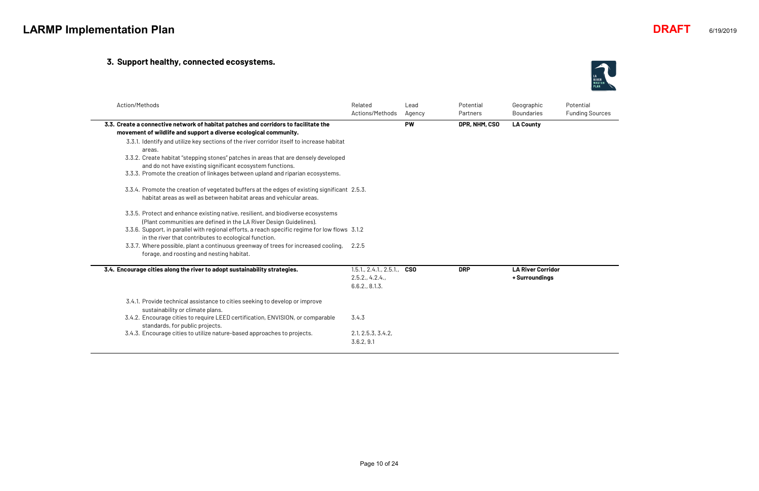## **3. Support healthy, connected ecosystems.**

| Action/Methods                                                                                                                                                                                                                                                                                                                                                                                                                                                                                        | Related<br>Actions/Methods                                | Lead<br>Agency | Potential<br>Partners | Geographic<br><b>Boundaries</b>            |
|-------------------------------------------------------------------------------------------------------------------------------------------------------------------------------------------------------------------------------------------------------------------------------------------------------------------------------------------------------------------------------------------------------------------------------------------------------------------------------------------------------|-----------------------------------------------------------|----------------|-----------------------|--------------------------------------------|
| 3.3. Create a connective network of habitat patches and corridors to facilitate the<br>movement of wildlife and support a diverse ecological community.<br>3.3.1. Identify and utilize key sections of the river corridor itself to increase habitat<br>areas.<br>3.3.2. Create habitat "stepping stones" patches in areas that are densely developed<br>and do not have existing significant ecosystem functions.<br>3.3.3. Promote the creation of linkages between upland and riparian ecosystems. |                                                           | <b>PW</b>      | DPR, NHM, CSO         | <b>LA County</b>                           |
| 3.3.4. Promote the creation of vegetated buffers at the edges of existing significant 2.5.3.<br>habitat areas as well as between habitat areas and vehicular areas.                                                                                                                                                                                                                                                                                                                                   |                                                           |                |                       |                                            |
| 3.3.5. Protect and enhance existing native, resilient, and biodiverse ecosystems<br>(Plant communities are defined in the LA River Design Guidelines).<br>3.3.6. Support, in parallel with regional efforts, a reach specific regime for low flows 3.1.2<br>in the river that contributes to ecological function.<br>3.3.7. Where possible, plant a continuous greenway of trees for increased cooling,<br>forage, and roosting and nesting habitat.                                                  | 2.2.5                                                     |                |                       |                                            |
| 3.4. Encourage cities along the river to adopt sustainability strategies.                                                                                                                                                                                                                                                                                                                                                                                                                             | 1.5.1, 2.4.1, 2.5.1,<br>2.5.2., 4.2.4.,<br>6.6.2., 8.1.3. | <b>CSO</b>     | <b>DRP</b>            | <b>LA River Corridor</b><br>+ Surroundings |
| 3.4.1. Provide technical assistance to cities seeking to develop or improve<br>sustainability or climate plans.<br>3.4.2. Encourage cities to require LEED certification, ENVISION, or comparable                                                                                                                                                                                                                                                                                                     | 3.4.3                                                     |                |                       |                                            |
| standards, for public projects.<br>3.4.3. Encourage cities to utilize nature-based approaches to projects.                                                                                                                                                                                                                                                                                                                                                                                            | 2.1, 2.5.3, 3.4.2,<br>3.6.2, 9.1                          |                |                       |                                            |



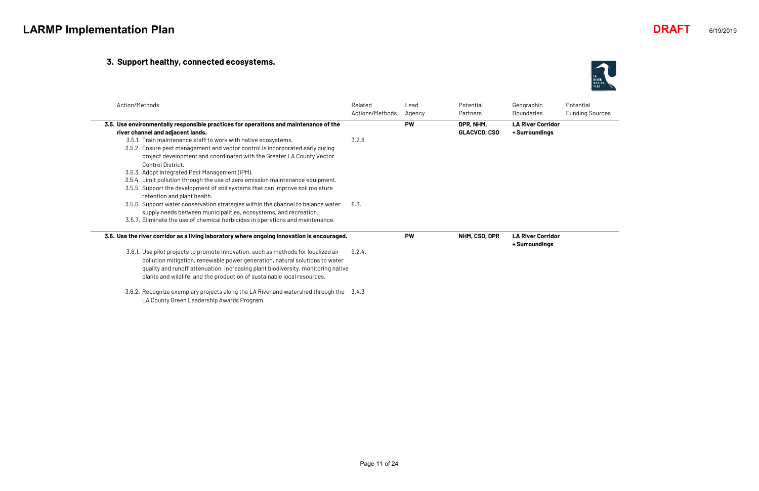#### **3. Support healthy, connected ecosystems.**

| Action/Methods                                                                                                                                                                                                                                | Related<br>Actions/Methods | Lead<br>Agency | Potential<br>Partners            | Geographic<br><b>Boundaries</b>            |
|-----------------------------------------------------------------------------------------------------------------------------------------------------------------------------------------------------------------------------------------------|----------------------------|----------------|----------------------------------|--------------------------------------------|
| 3.5. Use environmentally responsible practices for operations and maintenance of the<br>river channel and adjacent lands.                                                                                                                     |                            | <b>PW</b>      | DPR, NHM,<br><b>GLACVCD, CSO</b> | <b>LA River Corridor</b><br>+ Surroundings |
| 3.5.1. Train maintenance staff to work with native ecosystems.<br>3.5.2. Ensure pest management and vector control is incorporated early during<br>project development and coordinated with the Greater LA County Vector<br>Control District. | 3.2.6                      |                |                                  |                                            |
| 3.5.3. Adopt Integrated Pest Management (IPM).                                                                                                                                                                                                |                            |                |                                  |                                            |
| 3.5.4. Limit pollution through the use of zero emission maintenance equipment.<br>3.5.5. Support the development of soil systems that can improve soil moisture<br>retention and plant health.                                                |                            |                |                                  |                                            |
| 3.5.6. Support water conservation strategies within the channel to balance water<br>supply needs between municipalities, ecosystems, and recreation.                                                                                          | 8.3.                       |                |                                  |                                            |
| 3.5.7. Eliminate the use of chemical herbicides in operations and maintenance.                                                                                                                                                                |                            |                |                                  |                                            |
| 3.6. Use the river corridor as a living laboratory where ongoing innovation is encouraged.                                                                                                                                                    |                            | <b>PW</b>      | NHM, CSO, DPR                    | <b>LA River Corridor</b><br>+ Surroundings |
| 3.6.1. Use pilot projects to promote innovation, such as methods for localized air<br>pollution mitigation, renewable power generation, natural solutions to water                                                                            | 9.2.4.                     |                |                                  |                                            |
| quality and runoff attenuation, increasing plant biodiversity, monitoring native<br>plants and wildlife, and the production of sustainable local resources.                                                                                   |                            |                |                                  |                                            |
| 3.6.2. Recognize exemplary projects along the LA River and watershed through the 3.4.3<br>LA County Green Leadership Awards Program.                                                                                                          |                            |                |                                  |                                            |



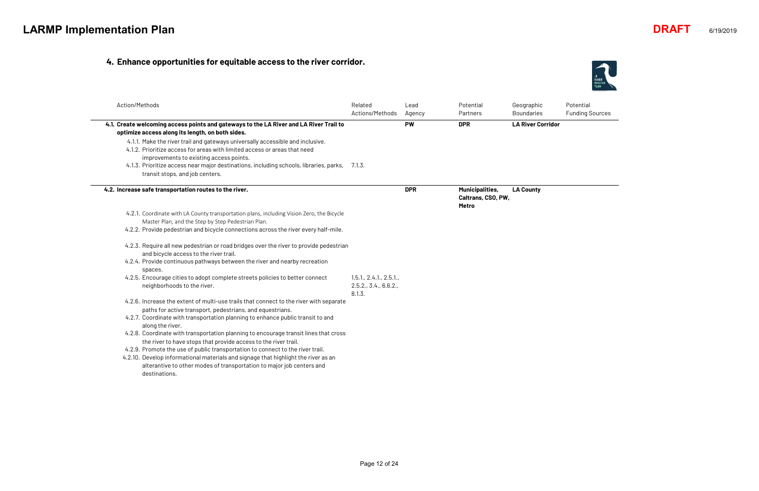#### **4. Enhance opportunities for equitable access to the river corridor.**

| Action/Methods                                                                                                                                                                                         | Related<br>Actions/Methods                              | Lead<br>Agency | Potential<br>Partners                                        | Geographic<br><b>Boundaries</b> |
|--------------------------------------------------------------------------------------------------------------------------------------------------------------------------------------------------------|---------------------------------------------------------|----------------|--------------------------------------------------------------|---------------------------------|
| 4.1. Create welcoming access points and gateways to the LA River and LA River Trail to<br>optimize access along its length, on both sides.                                                             |                                                         | <b>PW</b>      | <b>DPR</b>                                                   | <b>LA River Corridor</b>        |
| 4.1.1. Make the river trail and gateways universally accessible and inclusive.<br>4.1.2. Prioritize access for areas with limited access or areas that need<br>improvements to existing access points. |                                                         |                |                                                              |                                 |
| 4.1.3. Prioritize access near major destinations, including schools, libraries, parks, 7.1.3.<br>transit stops, and job centers.                                                                       |                                                         |                |                                                              |                                 |
| 4.2. Increase safe transportation routes to the river.                                                                                                                                                 |                                                         | <b>DPR</b>     | <b>Municipalities,</b><br>Caltrans, CSO, PW,<br><b>Metro</b> | <b>LA County</b>                |
| 4.2.1. Coordinate with LA County transportation plans, including Vision Zero, the Bicycle<br>Master Plan, and the Step by Step Pedestrian Plan.                                                        |                                                         |                |                                                              |                                 |
| 4.2.2. Provide pedestrian and bicycle connections across the river every half-mile.                                                                                                                    |                                                         |                |                                                              |                                 |
| 4.2.3. Require all new pedestrian or road bridges over the river to provide pedestrian<br>and bicycle access to the river trail.                                                                       |                                                         |                |                                                              |                                 |
| 4.2.4. Provide continuous pathways between the river and nearby recreation<br>spaces.                                                                                                                  |                                                         |                |                                                              |                                 |
| 4.2.5. Encourage cities to adopt complete streets policies to better connect<br>neighborhoods to the river.                                                                                            | 1.5.1, 2.4.1, 2.5.1,<br>2.5.2., 3.4., 6.6.2.,<br>8.1.3. |                |                                                              |                                 |
| 4.2.6. Increase the extent of multi-use trails that connect to the river with separate<br>paths for active transport, pedestrians, and equestrians.                                                    |                                                         |                |                                                              |                                 |
| 4.2.7. Coordinate with transportation planning to enhance public transit to and<br>along the river.                                                                                                    |                                                         |                |                                                              |                                 |
| 4.2.8. Coordinate with transportation planning to encourage transit lines that cross<br>the river to have stops that provide access to the river trail.                                                |                                                         |                |                                                              |                                 |
| 4.2.9. Promote the use of public transportation to connect to the river trail.                                                                                                                         |                                                         |                |                                                              |                                 |
| 4.2.10. Develop informational materials and signage that highlight the river as an                                                                                                                     |                                                         |                |                                                              |                                 |
| alterantive to other modes of transportation to major job centers and                                                                                                                                  |                                                         |                |                                                              |                                 |
| destinations.                                                                                                                                                                                          |                                                         |                |                                                              |                                 |



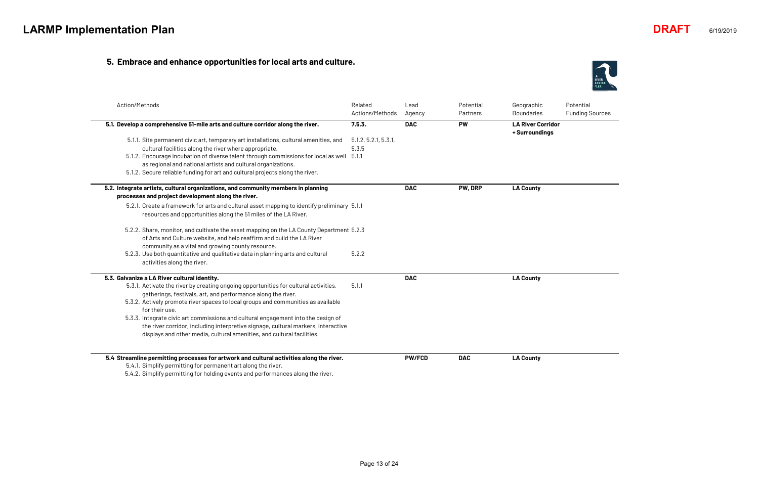#### **5. Embrace and enhance opportunities for local arts and culture.**

Potential Funding Sources

| Action/Methods                                                                                                                                       | Related<br>Actions/Methods | Lead<br>Agency | Potential<br>Partners | Geographic<br><b>Boundaries</b>            |
|------------------------------------------------------------------------------------------------------------------------------------------------------|----------------------------|----------------|-----------------------|--------------------------------------------|
| 5.1. Develop a comprehensive 51-mile arts and culture corridor along the river.                                                                      | 7.5.3.                     | <b>DAC</b>     | <b>PW</b>             | <b>LA River Corridor</b><br>+ Surroundings |
| 5.1.1. Site permanent civic art, temporary art installations, cultural amenities, and                                                                | 5.1.2, 5.2.1, 5.3.1,       |                |                       |                                            |
| cultural facilities along the river where appropriate.                                                                                               | 5.3.5                      |                |                       |                                            |
| 5.1.2. Encourage incubation of diverse talent through commissions for local as well 5.1.1                                                            |                            |                |                       |                                            |
| as regional and national artists and cultural organizations.                                                                                         |                            |                |                       |                                            |
| 5.1.2. Secure reliable funding for art and cultural projects along the river.                                                                        |                            |                |                       |                                            |
| 5.2. Integrate artists, cultural organizations, and community members in planning                                                                    |                            | <b>DAC</b>     | PW, DRP               | <b>LA County</b>                           |
| processes and project development along the river.                                                                                                   |                            |                |                       |                                            |
| 5.2.1. Create a framework for arts and cultural asset mapping to identify preliminary 5.1.1                                                          |                            |                |                       |                                            |
| resources and opportunities along the 51 miles of the LA River.                                                                                      |                            |                |                       |                                            |
| 5.2.2. Share, monitor, and cultivate the asset mapping on the LA County Department 5.2.3                                                             |                            |                |                       |                                            |
| of Arts and Culture website, and help reaffirm and build the LA River                                                                                |                            |                |                       |                                            |
| community as a vital and growing county resource.                                                                                                    |                            |                |                       |                                            |
| 5.2.3. Use both quantitative and qualitative data in planning arts and cultural<br>activities along the river.                                       | 5.2.2                      |                |                       |                                            |
| 5.3. Galvanize a LA River cultural identity.                                                                                                         |                            | <b>DAC</b>     |                       | <b>LA County</b>                           |
| 5.3.1. Activate the river by creating ongoing opportunities for cultural activities,<br>gatherings, festivals, art, and performance along the river. | 5.1.1                      |                |                       |                                            |
| 5.3.2. Actively promote river spaces to local groups and communities as available                                                                    |                            |                |                       |                                            |
| for their use.                                                                                                                                       |                            |                |                       |                                            |
| 5.3.3. Integrate civic art commissions and cultural engagement into the design of                                                                    |                            |                |                       |                                            |
| the river corridor, including interpretive signage, cultural markers, interactive                                                                    |                            |                |                       |                                            |
| displays and other media, cultural amenities, and cultural facilities.                                                                               |                            |                |                       |                                            |
|                                                                                                                                                      |                            |                |                       |                                            |
| 5.4 Streamline permitting processes for artwork and cultural activities along the river.                                                             |                            | <b>PW/FCD</b>  | <b>DAC</b>            | <b>LA County</b>                           |
| 5.4.1. Simplify permitting for permanent art along the river.                                                                                        |                            |                |                       |                                            |
| $E/L2$ Cimplify permitting for bolding quante and performance along the river                                                                        |                            |                |                       |                                            |

5.4.2. Simplify permitting for holding events and performances along the river.



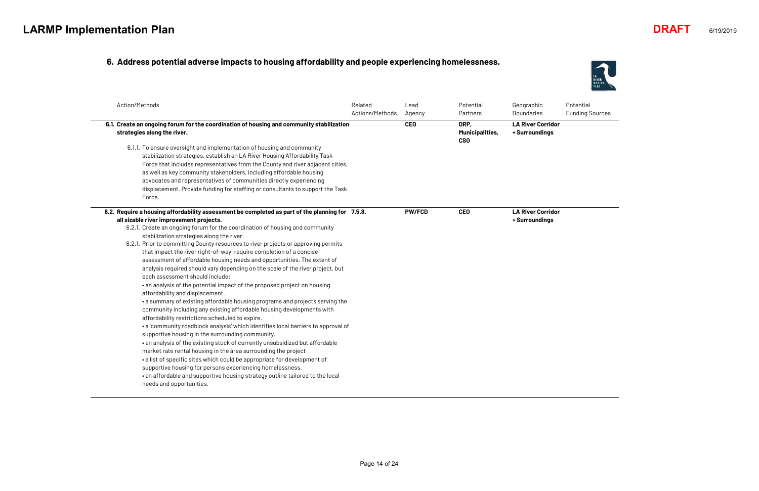#### **6. Address potential adverse impacts to housing affordability and people experiencing homelessness.**

| Action/Methods                                                                                                                                                                                                                                                                                                                                                                                                                                                                                                                                                                                                                                                                                                                                                                                                                                                                                                                                                                                                                                                                                                                                                                                                                                                                                                                                                                                                                                                                                                   | Related<br>Actions/Methods | Lead<br>Agency | Potential<br>Partners                        | Geographic<br><b>Boundaries</b>            |
|------------------------------------------------------------------------------------------------------------------------------------------------------------------------------------------------------------------------------------------------------------------------------------------------------------------------------------------------------------------------------------------------------------------------------------------------------------------------------------------------------------------------------------------------------------------------------------------------------------------------------------------------------------------------------------------------------------------------------------------------------------------------------------------------------------------------------------------------------------------------------------------------------------------------------------------------------------------------------------------------------------------------------------------------------------------------------------------------------------------------------------------------------------------------------------------------------------------------------------------------------------------------------------------------------------------------------------------------------------------------------------------------------------------------------------------------------------------------------------------------------------------|----------------------------|----------------|----------------------------------------------|--------------------------------------------|
| 6.1. Create an ongoing forum for the coordination of housing and community stabilization<br>strategies along the river.                                                                                                                                                                                                                                                                                                                                                                                                                                                                                                                                                                                                                                                                                                                                                                                                                                                                                                                                                                                                                                                                                                                                                                                                                                                                                                                                                                                          |                            | <b>CEO</b>     | DRP,<br><b>Municipalities,</b><br><b>CSO</b> | <b>LA River Corridor</b><br>+ Surroundings |
| 6.1.1. To ensure oversight and implementation of housing and community<br>stabilization strategies, establish an LA River Housing Affordability Task<br>Force that includes representatives from the County and river adjacent cities,<br>as well as key community stakeholders, including affordable housing<br>advocates and representatives of communities directly experiencing<br>displacement. Provide funding for staffing or consultants to support the Task<br>Force.                                                                                                                                                                                                                                                                                                                                                                                                                                                                                                                                                                                                                                                                                                                                                                                                                                                                                                                                                                                                                                   |                            |                |                                              |                                            |
| 6.2. Require a housing affordability assessment be completed as part of the planning for 7.5.8.<br>all sizable river improvement projects.<br>6.2.1. Create an ongoing forum for the coordination of housing and community<br>stabilization strategies along the river.<br>6.2.1. Prior to committing County resources to river projects or approving permits<br>that impact the river right-of-way, require completion of a concise<br>assessment of affordable housing needs and opportunities. The extent of<br>analysis required should vary depending on the scale of the river project, but<br>each assessment should include:<br>• an analysis of the potential impact of the proposed project on housing<br>affordability and displacement.<br>• a summary of existing affordable housing programs and projects serving the<br>community including any existing affordable housing developments with<br>affordability restrictions scheduled to expire.<br>• a 'community roadblock analysis' which identifies local barriers to approval of<br>supportive housing in the surrounding community.<br>. an analysis of the existing stock of currently unsubsidized but affordable<br>market rate rental housing in the area surrounding the project<br>• a list of specific sites which could be appropriate for development of<br>supportive housing for persons experiencing homelessness.<br>. an affordable and supportive housing strategy outline tailored to the local<br>needs and opportunities. |                            | <b>PW/FCD</b>  | <b>CEO</b>                                   | <b>LA River Corridor</b><br>+ Surroundings |



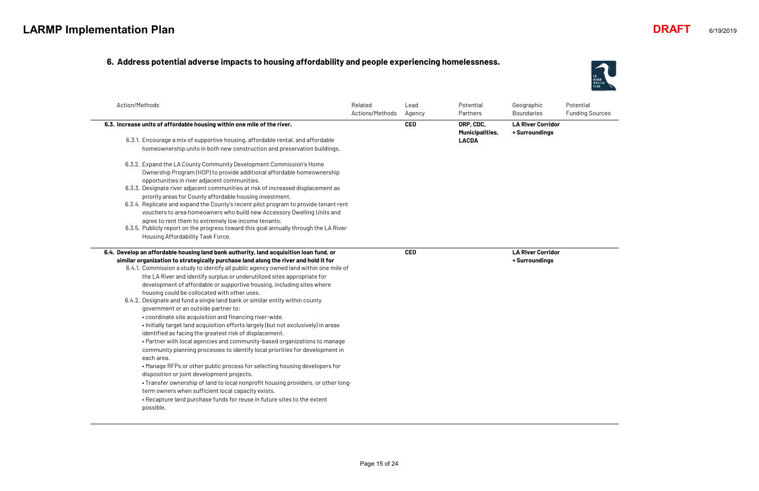#### **6. Address potential adverse impacts to housing affordability and people experiencing homelessness.**

| Related<br>Actions/Methods                                                                                                                                                                                                                                                                                                                                                                                                                                                                                  | Lead<br>Agency                                                                                                                                                                                                                                          | Potential<br>Partners | Geographic<br><b>Boundaries</b>            |
|-------------------------------------------------------------------------------------------------------------------------------------------------------------------------------------------------------------------------------------------------------------------------------------------------------------------------------------------------------------------------------------------------------------------------------------------------------------------------------------------------------------|---------------------------------------------------------------------------------------------------------------------------------------------------------------------------------------------------------------------------------------------------------|-----------------------|--------------------------------------------|
|                                                                                                                                                                                                                                                                                                                                                                                                                                                                                                             | CEO                                                                                                                                                                                                                                                     | DRP, CDC,             | <b>LA River Corridor</b><br>+ Surroundings |
| homeownership units in both new construction and preservation buildings.                                                                                                                                                                                                                                                                                                                                                                                                                                    |                                                                                                                                                                                                                                                         | <b>LACDA</b>          |                                            |
|                                                                                                                                                                                                                                                                                                                                                                                                                                                                                                             |                                                                                                                                                                                                                                                         |                       |                                            |
|                                                                                                                                                                                                                                                                                                                                                                                                                                                                                                             |                                                                                                                                                                                                                                                         |                       |                                            |
| 6.3.3. Designate river adjacent communities at risk of increased displacement as                                                                                                                                                                                                                                                                                                                                                                                                                            |                                                                                                                                                                                                                                                         |                       |                                            |
|                                                                                                                                                                                                                                                                                                                                                                                                                                                                                                             |                                                                                                                                                                                                                                                         |                       |                                            |
| vouchers to area homeowners who build new Accessory Dwelling Units and                                                                                                                                                                                                                                                                                                                                                                                                                                      |                                                                                                                                                                                                                                                         |                       |                                            |
|                                                                                                                                                                                                                                                                                                                                                                                                                                                                                                             |                                                                                                                                                                                                                                                         |                       |                                            |
|                                                                                                                                                                                                                                                                                                                                                                                                                                                                                                             |                                                                                                                                                                                                                                                         |                       |                                            |
|                                                                                                                                                                                                                                                                                                                                                                                                                                                                                                             |                                                                                                                                                                                                                                                         |                       |                                            |
| 6.4.1. Commission a study to identify all public agency owned land within one mile of<br>. Initially target land acquisition efforts largely (but not exclusively) in areas<br>• Partner with local agencies and community-based organizations to manage<br>community planning processes to identify local priorities for development in<br>• Manage RFPs or other public process for selecting housing developers for<br>• Transfer ownership of land to local nonprofit housing providers, or other long- |                                                                                                                                                                                                                                                         |                       | <b>LA River Corridor</b><br>+ Surroundings |
|                                                                                                                                                                                                                                                                                                                                                                                                                                                                                                             | Ownership Program (HOP) to provide additional affordable homeownership<br>6.3.4. Replicate and expand the County's recent pilot program to provide tenant rent<br>6.3.5. Publicly report on the progress toward this goal annually through the LA River | <b>CEO</b>            | <b>Municipalities,</b>                     |



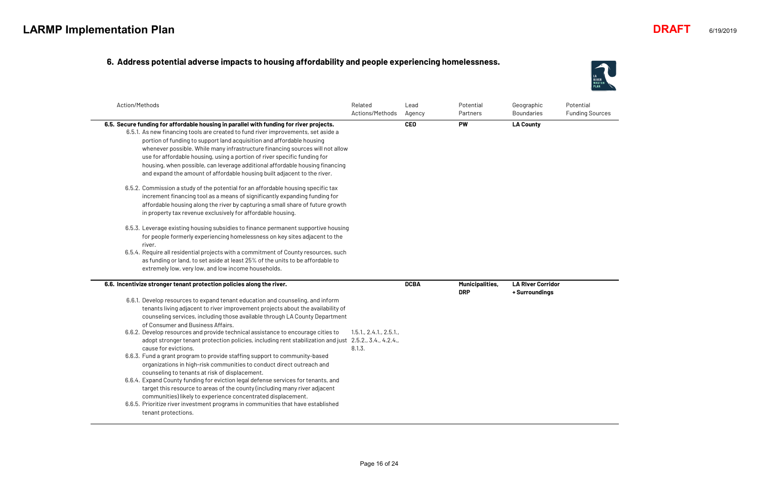#### **6. Address potential adverse impacts to housing affordability and people experiencing homelessness.**

| Action/Methods                                                                                                                                                                                                                                                                                                                                                                                                                                                                                                                                                                                                                                                                                                                                                                                                                                                                                                                                                                                                                                                                                                                                                                                                                                             | Related<br>Actions/Methods     | Lead<br>Agency | Potential<br>Partners         | Geographic<br><b>Boundaries</b> |
|------------------------------------------------------------------------------------------------------------------------------------------------------------------------------------------------------------------------------------------------------------------------------------------------------------------------------------------------------------------------------------------------------------------------------------------------------------------------------------------------------------------------------------------------------------------------------------------------------------------------------------------------------------------------------------------------------------------------------------------------------------------------------------------------------------------------------------------------------------------------------------------------------------------------------------------------------------------------------------------------------------------------------------------------------------------------------------------------------------------------------------------------------------------------------------------------------------------------------------------------------------|--------------------------------|----------------|-------------------------------|---------------------------------|
| 6.5. Secure funding for affordable housing in parallel with funding for river projects.<br>6.5.1. As new financing tools are created to fund river improvements, set aside a<br>portion of funding to support land acquisition and affordable housing<br>whenever possible. While many infrastructure financing sources will not allow<br>use for affordable housing, using a portion of river specific funding for<br>housing, when possible, can leverage additional affordable housing financing<br>and expand the amount of affordable housing built adjacent to the river.<br>6.5.2. Commission a study of the potential for an affordable housing specific tax<br>increment financing tool as a means of significantly expanding funding for<br>affordable housing along the river by capturing a small share of future growth<br>in property tax revenue exclusively for affordable housing.<br>6.5.3. Leverage existing housing subsidies to finance permanent supportive housing<br>for people formerly experiencing homelessness on key sites adjacent to the<br>river.<br>6.5.4. Require all residential projects with a commitment of County resources, such<br>as funding or land, to set aside at least 25% of the units to be affordable to |                                | <b>CEO</b>     | <b>PW</b>                     | <b>LA County</b>                |
| extremely low, very low, and low income households.<br>6.6. Incentivize stronger tenant protection policies along the river.                                                                                                                                                                                                                                                                                                                                                                                                                                                                                                                                                                                                                                                                                                                                                                                                                                                                                                                                                                                                                                                                                                                               |                                | <b>DCBA</b>    | Municipalities,<br><b>DRP</b> | <b>LA River Corridor</b>        |
| 6.6.1. Develop resources to expand tenant education and counseling, and inform<br>tenants living adjacent to river improvement projects about the availability of<br>counseling services, including those available through LA County Department<br>of Consumer and Business Affairs.<br>6.6.2. Develop resources and provide technical assistance to encourage cities to<br>adopt stronger tenant protection policies, including rent stabilization and just 2.5.2., 3.4., 4.2.4.,<br>cause for evictions.<br>6.6.3. Fund a grant program to provide staffing support to community-based<br>organizations in high-risk communities to conduct direct outreach and<br>counseling to tenants at risk of displacement.<br>6.6.4. Expand County funding for eviction legal defense services for tenants, and<br>target this resource to areas of the county (including many river adjacent<br>communities) likely to experience concentrated displacement.<br>6.6.5. Prioritize river investment programs in communities that have established<br>tenant protections.                                                                                                                                                                                         | 1.5.1, 2.4.1, 2.5.1,<br>8.1.3. |                |                               | + Surroundings                  |



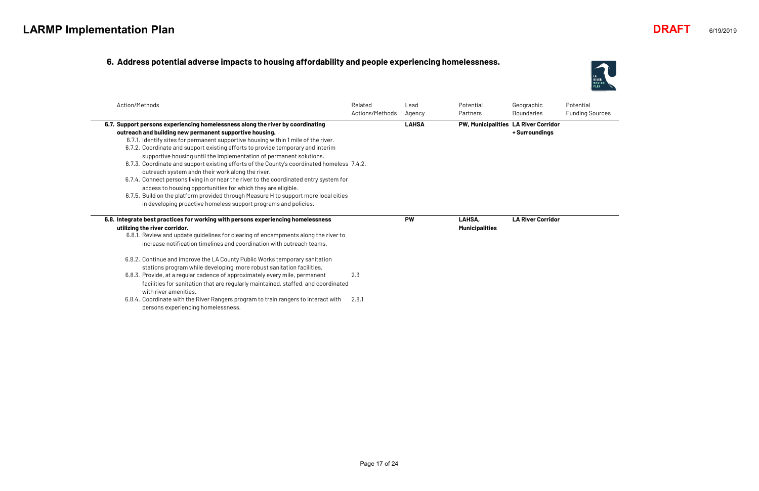#### **6. Address potential adverse impacts to housing affordability and people experiencing homelessness.**

| Action/Methods                                                                                                                                                                                                                                                                                                                                                                                                                                                                                                                                                                                                                                                                                                                                                                                                                                                   | Related<br>Actions/Methods | Lead<br>Agency | Potential<br>Partners                | Geographic<br><b>Boundaries</b> |
|------------------------------------------------------------------------------------------------------------------------------------------------------------------------------------------------------------------------------------------------------------------------------------------------------------------------------------------------------------------------------------------------------------------------------------------------------------------------------------------------------------------------------------------------------------------------------------------------------------------------------------------------------------------------------------------------------------------------------------------------------------------------------------------------------------------------------------------------------------------|----------------------------|----------------|--------------------------------------|---------------------------------|
| 6.7. Support persons experiencing homelessness along the river by coordinating<br>outreach and building new permanent supportive housing.<br>6.7.1. Identify sites for permanent supportive housing within 1 mile of the river.<br>6.7.2. Coordinate and support existing efforts to provide temporary and interim<br>supportive housing until the implementation of permanent solutions.<br>6.7.3. Coordinate and support existing efforts of the County's coordinated homeless 7.4.2.<br>outreach system andn their work along the river.<br>6.7.4. Connect persons living in or near the river to the coordinated entry system for<br>access to housing opportunities for which they are eligible.<br>6.7.5. Build on the platform provided through Measure H to support more local cities<br>in developing proactive homeless support programs and policies. |                            | <b>LAHSA</b>   | PW, Municipalities LA RIver Corridor | + Surroundings                  |
| 6.8. Integrate best practices for working with persons experiencing homelessness<br>utilizing the river corridor.<br>6.8.1. Review and update guidelines for clearing of encampments along the river to<br>increase notification timelines and coordination with outreach teams.<br>6.8.2. Continue and improve the LA County Public Works temporary sanitation<br>stations program while developing more robust sanitation facilities.<br>6.8.3. Provide, at a regular cadence of approximately every mile, permanent                                                                                                                                                                                                                                                                                                                                           | 2.3                        | <b>PW</b>      | LAHSA,<br><b>Municipalities</b>      | <b>LA River Corridor</b>        |
| facilities for sanitation that are regularly maintained, staffed, and coordinated<br>with river amenities.<br>6.8.4. Coordinate with the River Rangers program to train rangers to interact with<br>persons experiencing homelessness.                                                                                                                                                                                                                                                                                                                                                                                                                                                                                                                                                                                                                           | 2.8.1                      |                |                                      |                                 |



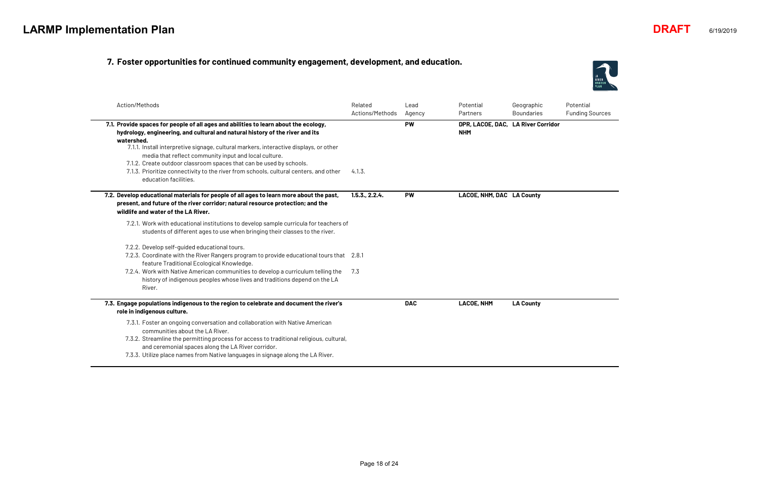#### **7. Foster opportunities for continued community engagement, development, and education.**

| Action/Methods                                                                                                                                                                                                                                                                                                                                                                                               |                                                                                                                                                                      | Related<br>Actions/Methods | Lead<br>Agency | Potential<br>Partners                            | Geographic<br><b>Boundaries</b> |
|--------------------------------------------------------------------------------------------------------------------------------------------------------------------------------------------------------------------------------------------------------------------------------------------------------------------------------------------------------------------------------------------------------------|----------------------------------------------------------------------------------------------------------------------------------------------------------------------|----------------------------|----------------|--------------------------------------------------|---------------------------------|
| 7.1. Provide spaces for people of all ages and abilities to learn about the ecology,<br>hydrology, engineering, and cultural and natural history of the river and its<br>watershed.<br>7.1.1. Install interpretive signage, cultural markers, interactive displays, or other<br>media that reflect community input and local culture.<br>7.1.2. Create outdoor classroom spaces that can be used by schools. |                                                                                                                                                                      |                            | <b>PW</b>      | DPR, LACOE, DAC, LA River Corridor<br><b>NHM</b> |                                 |
| 7.1.3. Prioritize connectivity to the river from schools, cultural centers, and other<br>education facilities.                                                                                                                                                                                                                                                                                               |                                                                                                                                                                      | 4.1.3.                     |                |                                                  |                                 |
| 7.2. Develop educational materials for people of all ages to learn more about the past,<br>present, and future of the river corridor; natural resource protection; and the<br>wildlife and water of the LA River.                                                                                                                                                                                            |                                                                                                                                                                      | 1.5.3., 2.2.4.             | <b>PW</b>      | LACOE, NHM, DAC LA County                        |                                 |
|                                                                                                                                                                                                                                                                                                                                                                                                              | 7.2.1. Work with educational institutions to develop sample curricula for teachers of<br>students of different ages to use when bringing their classes to the river. |                            |                |                                                  |                                 |
| 7.2.2. Develop self-guided educational tours.                                                                                                                                                                                                                                                                                                                                                                |                                                                                                                                                                      |                            |                |                                                  |                                 |
| feature Traditional Ecological Knowledge.                                                                                                                                                                                                                                                                                                                                                                    | 7.2.3. Coordinate with the River Rangers program to provide educational tours that 2.8.1                                                                             |                            |                |                                                  |                                 |
| 7.2.4. Work with Native American communities to develop a curriculum telling the<br>River.                                                                                                                                                                                                                                                                                                                   | history of indigenous peoples whose lives and traditions depend on the LA                                                                                            | 7.3                        |                |                                                  |                                 |
| 7.3. Engage populations indigenous to the region to celebrate and document the river's<br>role in indigenous culture.                                                                                                                                                                                                                                                                                        |                                                                                                                                                                      |                            | <b>DAC</b>     | <b>LACOE, NHM</b>                                | <b>LA County</b>                |
| 7.3.1. Foster an ongoing conversation and collaboration with Native American<br>communities about the LA River.<br>and ceremonial spaces along the LA River corridor.                                                                                                                                                                                                                                        | 7.3.2. Streamline the permitting process for access to traditional religious, cultural,                                                                              |                            |                |                                                  |                                 |
| 7.3.3. Utilize place names from Native languages in signage along the LA River.                                                                                                                                                                                                                                                                                                                              |                                                                                                                                                                      |                            |                |                                                  |                                 |



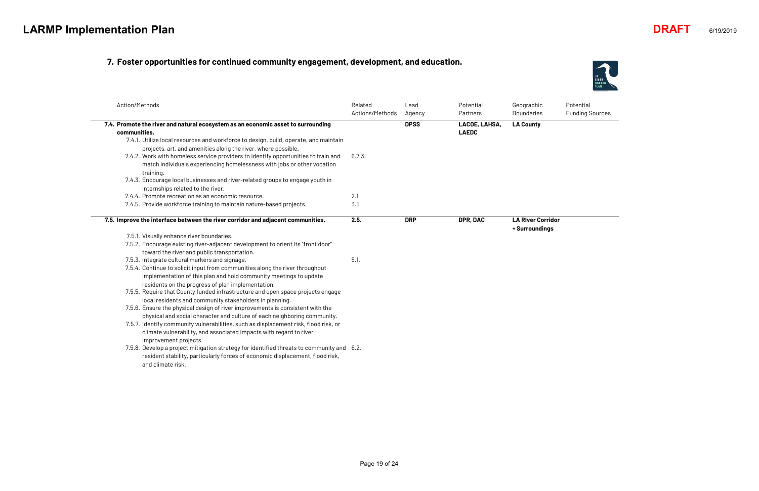#### **7. Foster opportunities for continued community engagement, development, and education.**

| Action/Methods                                                                                                                                                | Related<br>Actions/Methods | Lead<br>Agency | Potential<br>Partners         | Geographic<br><b>Boundaries</b> |
|---------------------------------------------------------------------------------------------------------------------------------------------------------------|----------------------------|----------------|-------------------------------|---------------------------------|
| 7.4. Promote the river and natural ecosystem as an economic asset to surrounding<br>communities.                                                              |                            | <b>DPSS</b>    | LACOE, LAHSA,<br><b>LAEDC</b> | <b>LA County</b>                |
| 7.4.1. Utilize local resources and workforce to design, build, operate, and maintain                                                                          |                            |                |                               |                                 |
| projects, art, and amenities along the river, where possible.                                                                                                 |                            |                |                               |                                 |
| 7.4.2. Work with homeless service providers to identify opportunities to train and<br>match individuals experiencing homelessness with jobs or other vocation | 6.7.3.                     |                |                               |                                 |
| training.<br>7.4.3. Encourage local businesses and river-related groups to engage youth in                                                                    |                            |                |                               |                                 |
| internships related to the river.                                                                                                                             |                            |                |                               |                                 |
| 7.4.4. Promote recreation as an economic resource.                                                                                                            | 2.1                        |                |                               |                                 |
| 7.4.5. Provide workforce training to maintain nature-based projects.                                                                                          | 3.5                        |                |                               |                                 |
| 7.5. Improve the interface between the river corridor and adjacent communities.                                                                               | 2.5.                       | <b>DRP</b>     | DPR, DAC                      | <b>LA River Corridor</b>        |
|                                                                                                                                                               |                            |                |                               | + Surroundings                  |
| 7.5.1. Visually enhance river boundaries.                                                                                                                     |                            |                |                               |                                 |
| 7.5.2. Encourage existing river-adjacent development to orient its "front door"                                                                               |                            |                |                               |                                 |
| toward the river and public transportation.                                                                                                                   |                            |                |                               |                                 |
| 7.5.3. Integrate cultural markers and signage.                                                                                                                | 5.1.                       |                |                               |                                 |
| 7.5.4. Continue to solicit input from communities along the river throughout                                                                                  |                            |                |                               |                                 |
| implementation of this plan and hold community meetings to update                                                                                             |                            |                |                               |                                 |
| residents on the progress of plan implementation.                                                                                                             |                            |                |                               |                                 |
| 7.5.5. Require that County funded infrastructure and open space projects engage                                                                               |                            |                |                               |                                 |
| local residents and community stakeholders in planning.                                                                                                       |                            |                |                               |                                 |
| 7.5.6. Ensure the physical design of river improvements is consistent with the                                                                                |                            |                |                               |                                 |
| physical and social character and culture of each neighboring community.                                                                                      |                            |                |                               |                                 |
| 7.5.7. Identify community vulnerabilities, such as displacement risk, flood risk, or<br>climate vulnerability, and associated impacts with regard to river    |                            |                |                               |                                 |
| improvement projects.                                                                                                                                         |                            |                |                               |                                 |
| 7.5.8. Develop a project mitigation strategy for identified threats to community and 6.2.                                                                     |                            |                |                               |                                 |
| resident stability, particularly forces of economic displacement, flood risk,<br>and climate risk.                                                            |                            |                |                               |                                 |



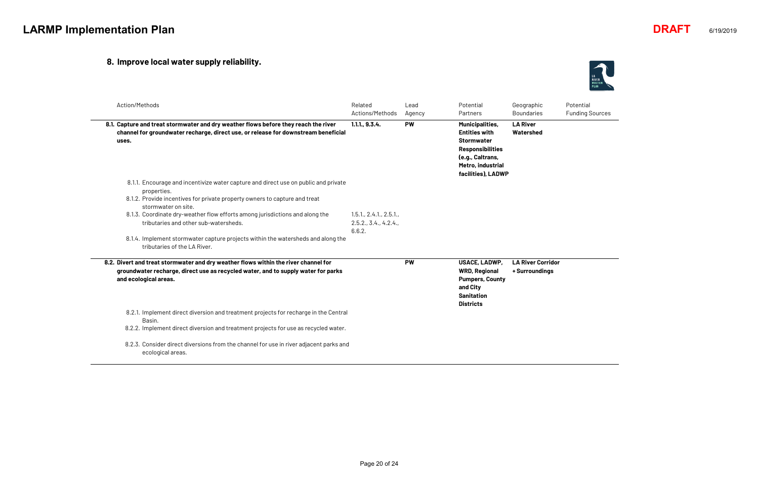## **8. Improve local water supply reliability.**

| Action/Methods                                                                                                                                                                                                                                                                                                                                                                                                                                       | Related<br>Actions/Methods                              | Lead<br>Agency | Potential<br>Partners                                                                                                                                         | Geographic<br><b>Boundaries</b>            |
|------------------------------------------------------------------------------------------------------------------------------------------------------------------------------------------------------------------------------------------------------------------------------------------------------------------------------------------------------------------------------------------------------------------------------------------------------|---------------------------------------------------------|----------------|---------------------------------------------------------------------------------------------------------------------------------------------------------------|--------------------------------------------|
| 8.1. Capture and treat stormwater and dry weather flows before they reach the river<br>channel for groundwater recharge, direct use, or release for downstream beneficial<br>uses.                                                                                                                                                                                                                                                                   | 1.1.1, 9.3.4.                                           | <b>PW</b>      | <b>Municipalities,</b><br><b>Entities with</b><br><b>Stormwater</b><br><b>Responsibilities</b><br>(e.g., Caltrans,<br>Metro, industrial<br>facilities), LADWP | <b>LA River</b><br>Watershed               |
| 8.1.1. Encourage and incentivize water capture and direct use on public and private<br>properties.<br>8.1.2. Provide incentives for private property owners to capture and treat<br>stormwater on site.<br>8.1.3. Coordinate dry-weather flow efforts among jurisdictions and along the<br>tributaries and other sub-watersheds.<br>8.1.4. Implement stormwater capture projects within the watersheds and along the<br>tributaries of the LA River. | 1.5.1, 2.4.1, 2.5.1,<br>2.5.2., 3.4., 4.2.4.,<br>6.6.2. |                |                                                                                                                                                               |                                            |
| 8.2. Divert and treat stormwater and dry weather flows within the river channel for<br>groundwater recharge, direct use as recycled water, and to supply water for parks<br>and ecological areas.                                                                                                                                                                                                                                                    |                                                         | <b>PW</b>      | <b>USACE, LADWP,</b><br><b>WRD, Regional</b><br><b>Pumpers, County</b><br>and City<br><b>Sanitation</b><br><b>Districts</b>                                   | <b>LA River Corridor</b><br>+ Surroundings |
| 8.2.1. Implement direct diversion and treatment projects for recharge in the Central<br>Basin.<br>8.2.2. Implement direct diversion and treatment projects for use as recycled water.<br>8.2.3. Consider direct diversions from the channel for use in river adjacent parks and<br>ecological areas.                                                                                                                                                 |                                                         |                |                                                                                                                                                               |                                            |



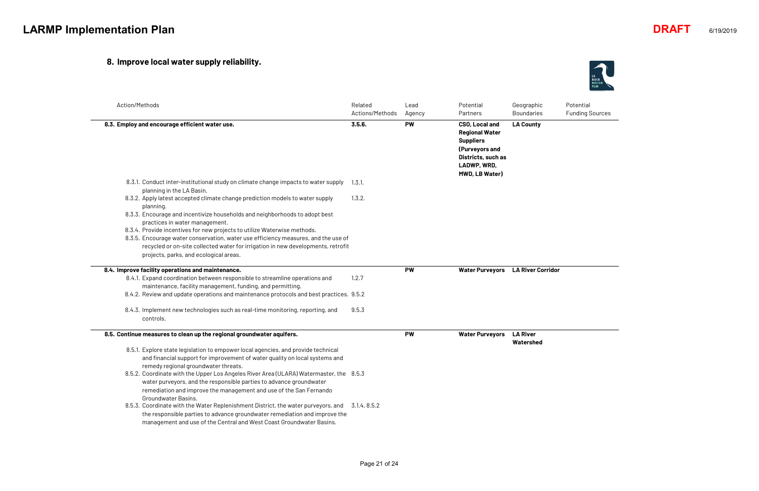## **8. Improve local water supply reliability.**

| Action/Methods                                                                                                                                                                                                                                                                               | Related<br>Actions/Methods | Lead<br>Agency | Potential<br>Partners                                                                                                                | Geographic<br><b>Boundaries</b> |
|----------------------------------------------------------------------------------------------------------------------------------------------------------------------------------------------------------------------------------------------------------------------------------------------|----------------------------|----------------|--------------------------------------------------------------------------------------------------------------------------------------|---------------------------------|
| 8.3. Employ and encourage efficient water use.                                                                                                                                                                                                                                               | 3.5.6.                     | <b>PW</b>      | CSO, Local and<br><b>Regional Water</b><br><b>Suppliers</b><br>(Purveyors and<br>Districts, such as<br>LADWP, WRD,<br>MWD, LB Water) | <b>LA County</b>                |
| 8.3.1. Conduct inter-institutional study on climate change impacts to water supply<br>planning in the LA Basin.                                                                                                                                                                              | 1.3.1.                     |                |                                                                                                                                      |                                 |
| 8.3.2. Apply latest accepted climate change prediction models to water supply<br>planning.                                                                                                                                                                                                   | 1.3.2.                     |                |                                                                                                                                      |                                 |
| 8.3.3. Encourage and incentivize households and neighborhoods to adopt best<br>practices in water management.                                                                                                                                                                                |                            |                |                                                                                                                                      |                                 |
| 8.3.4. Provide incentives for new projects to utilize Waterwise methods.<br>8.3.5. Encourage water conservation, water use efficiency measures, and the use of<br>recycled or on-site collected water for irrigation in new developments, retrofit<br>projects, parks, and ecological areas. |                            |                |                                                                                                                                      |                                 |
| 8.4. Improve facility operations and maintenance.                                                                                                                                                                                                                                            |                            | <b>PW</b>      | <b>Water Purveyors</b>                                                                                                               | <b>LA River Corridor</b>        |
| 8.4.1. Expand coordination between responsible to streamline operations and<br>maintenance, facility management, funding, and permitting.                                                                                                                                                    | 1.2.7                      |                |                                                                                                                                      |                                 |
| 8.4.2. Review and update operations and maintenance protocols and best practices. 9.5.2                                                                                                                                                                                                      |                            |                |                                                                                                                                      |                                 |
| 8.4.3. Implement new technologies such as real-time monitoring, reporting, and<br>controls.                                                                                                                                                                                                  | 9.5.3                      |                |                                                                                                                                      |                                 |
| 8.5. Continue measures to clean up the regional groundwater aquifers.                                                                                                                                                                                                                        |                            | <b>PW</b>      | <b>Water Purveyors</b>                                                                                                               | <b>LA River</b>                 |
| 8.5.1. Explore state legislation to empower local agencies, and provide technical<br>and financial support for improvement of water quality on local systems and<br>remedy regional groundwater threats.                                                                                     |                            |                |                                                                                                                                      | Watershed                       |
| 8.5.2. Coordinate with the Upper Los Angeles River Area (ULARA) Watermaster, the 8.5.3<br>water purveyors, and the responsible parties to advance groundwater<br>remediation and improve the management and use of the San Fernando<br>Groundwater Basins.                                   |                            |                |                                                                                                                                      |                                 |
| 8.5.3. Coordinate with the Water Replenishment District, the water purveyors, and<br>the responsible parties to advance groundwater remediation and improve the<br>management and use of the Central and West Coast Groundwater Basins.                                                      | 3.1.4, 8.5.2               |                |                                                                                                                                      |                                 |



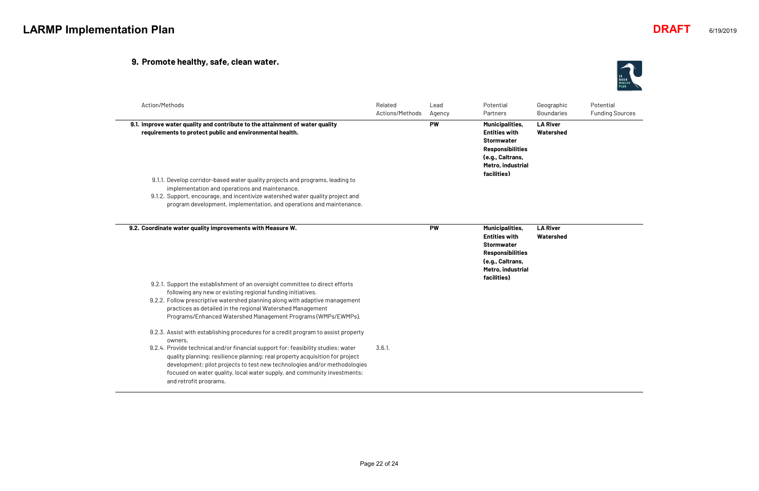## **9. Promote healthy, safe, clean water.**

| bhic. | Potential              |
|-------|------------------------|
| ries  | <b>Funding Sources</b> |

| Related<br>Actions/Methods | Lead<br>Agency | Potential<br>Partners                                                                                                                   | Geographic<br><b>Boundaries</b>  |
|----------------------------|----------------|-----------------------------------------------------------------------------------------------------------------------------------------|----------------------------------|
|                            | <b>PW</b>      | <b>Municipalities,</b><br><b>Entities with</b><br><b>Stormwater</b><br><b>Responsibilities</b><br>(e.g., Caltrans,<br>Metro, industrial | <b>LA River</b><br>Watershed     |
|                            |                |                                                                                                                                         |                                  |
|                            |                |                                                                                                                                         |                                  |
|                            |                |                                                                                                                                         |                                  |
|                            | <b>PW</b>      | <b>Municipalities,</b><br><b>Entities with</b><br><b>Stormwater</b><br><b>Responsibilities</b><br>(e.g., Caltrans,                      | <b>LA River</b><br>Watershed     |
|                            |                | facilities)                                                                                                                             |                                  |
|                            |                |                                                                                                                                         |                                  |
|                            |                |                                                                                                                                         |                                  |
|                            |                |                                                                                                                                         |                                  |
|                            |                |                                                                                                                                         |                                  |
|                            |                |                                                                                                                                         |                                  |
| 3.6.1.                     |                |                                                                                                                                         |                                  |
|                            |                |                                                                                                                                         | facilities)<br>Metro, industrial |

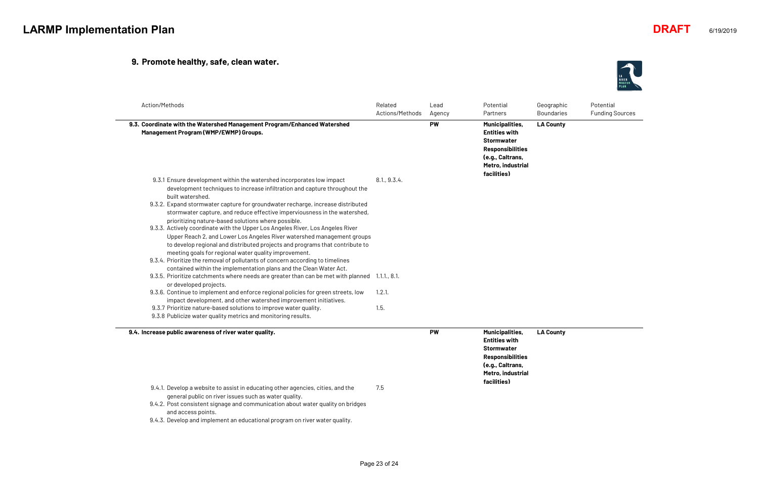#### **9. Promote healthy, safe, clean water.**

| phic  | Potential              |
|-------|------------------------|
| aries | <b>Funding Sources</b> |

**LA County**

| Action/Methods                                                                                                                                                                                                                           | Related<br>Actions/Methods | Lead<br>Agency | Potential<br>Partners                                                                                                                           | Geogra<br>Bounda |
|------------------------------------------------------------------------------------------------------------------------------------------------------------------------------------------------------------------------------------------|----------------------------|----------------|-------------------------------------------------------------------------------------------------------------------------------------------------|------------------|
| 9.3. Coordinate with the Watershed Management Program/Enhanced Watershed<br>Management Program (WMP/EWMP) Groups.                                                                                                                        |                            | <b>PW</b>      | Municipalities,<br><b>Entities with</b><br><b>Stormwater</b><br><b>Responsibilities</b><br>(e.g., Caltrans,<br>Metro, industrial<br>facilities) | LA Cou           |
| 9.3.1 Ensure development within the watershed incorporates low impact<br>development techniques to increase infiltration and capture throughout the                                                                                      | 8.1, 9.3.4.                |                |                                                                                                                                                 |                  |
| built watershed.<br>9.3.2. Expand stormwater capture for groundwater recharge, increase distributed<br>stormwater capture, and reduce effective imperviousness in the watershed,<br>prioritizing nature-based solutions where possible.  |                            |                |                                                                                                                                                 |                  |
| 9.3.3. Actively coordinate with the Upper Los Angeles River, Los Angeles River<br>Upper Reach 2, and Lower Los Angeles River watershed management groups<br>to develop regional and distributed projects and programs that contribute to |                            |                |                                                                                                                                                 |                  |
| meeting goals for regional water quality improvement.<br>9.3.4. Prioritize the removal of pollutants of concern according to timelines<br>contained within the implementation plans and the Clean Water Act.                             |                            |                |                                                                                                                                                 |                  |
| 9.3.5. Prioritize catchments where needs are greater than can be met with planned 1.1.1., 8.1.<br>or developed projects.                                                                                                                 |                            |                |                                                                                                                                                 |                  |
| 9.3.6. Continue to implement and enforce regional policies for green streets, low<br>impact development, and other watershed improvement initiatives.                                                                                    | 1.2.1.                     |                |                                                                                                                                                 |                  |
| 9.3.7 Prioritize nature-based solutions to improve water quality.<br>9.3.8 Publicize water quality metrics and monitoring results.                                                                                                       | 1.5.                       |                |                                                                                                                                                 |                  |
| 9.4. Increase public awareness of river water quality.                                                                                                                                                                                   |                            | <b>PW</b>      | Municipalities,<br><b>Entities with</b><br><b>Stormwater</b><br><b>Responsibilities</b><br>(e.g., Caltrans,<br>Metro, industrial                | LA Cou           |
| 9.4.1. Develop a website to assist in educating other agencies, cities, and the<br>general public on river issues such as water quality.<br>9.4.2. Post consistent signage and communication about water quality on bridges              | 7.5                        |                | facilities)                                                                                                                                     |                  |

**LA County**

and access points. 9.4.3. Develop and implement an educational program on river water quality.